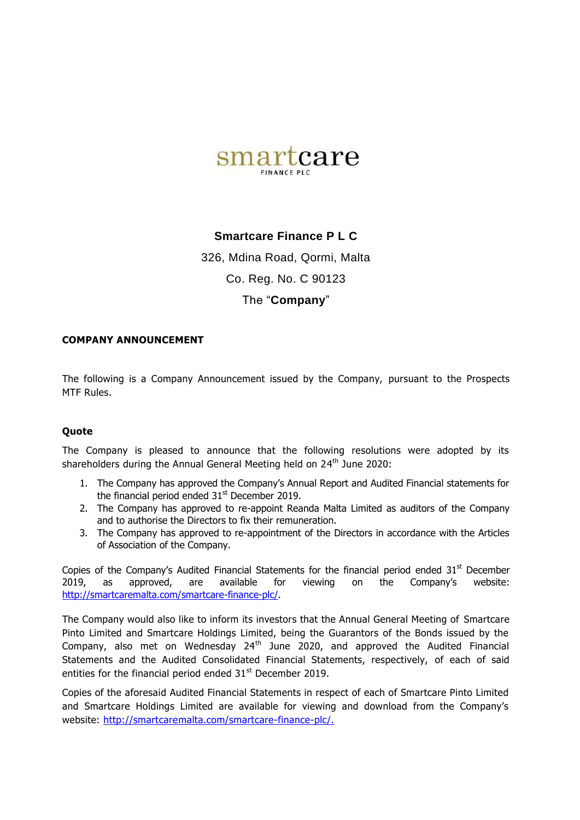

## **Smartcare Finance P L C**

326, Mdina Road, Qormi, Malta Co. Reg. No. C 90123

## The "**Company**"

## **COMPANY ANNOUNCEMENT**

The following is a Company Announcement issued by the Company, pursuant to the Prospects MTF Rules.

## **Quote**

The Company is pleased to announce that the following resolutions were adopted by its shareholders during the Annual General Meeting held on 24<sup>th</sup> June 2020:

- 1. The Company has approved the Company's Annual Report and Audited Financial statements for the financial period ended  $31<sup>st</sup>$  December 2019.
- 2. The Company has approved to re-appoint Reanda Malta Limited as auditors of the Company and to authorise the Directors to fix their remuneration.
- 3. The Company has approved to re-appointment of the Directors in accordance with the Articles of Association of the Company.

Copies of the Company's Audited Financial Statements for the financial period ended  $31<sup>st</sup>$  December 2019, as approved, are available for viewing on the Company's website: [http://smartcaremalta.com/smartcare-finance-plc/.](http://smartcaremalta.com/smartcare-finance-plc/)

The Company would also like to inform its investors that the Annual General Meeting of Smartcare Pinto Limited and Smartcare Holdings Limited, being the Guarantors of the Bonds issued by the Company, also met on Wednesday  $24<sup>th</sup>$  June 2020, and approved the Audited Financial Statements and the Audited Consolidated Financial Statements, respectively, of each of said entities for the financial period ended  $31<sup>st</sup>$  December 2019.

Copies of the aforesaid Audited Financial Statements in respect of each of Smartcare Pinto Limited and Smartcare Holdings Limited are available for viewing and download from the Company's website: [http://smartcaremalta.com/smartcare-finance-plc/.](http://smartcaremalta.com/smartcare-finance-plc/)